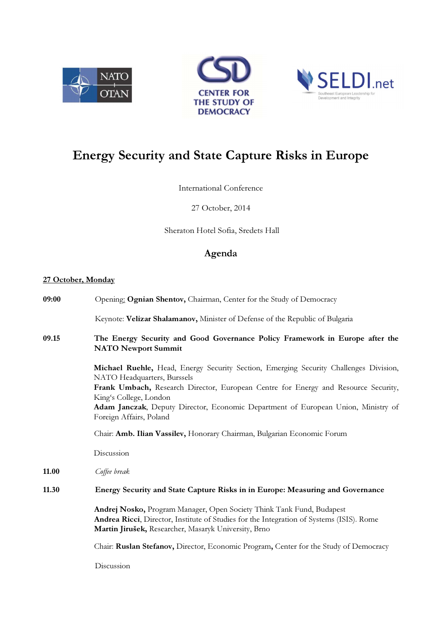





## Energy Security and State Capture Risks in Europe

## International Conference

27 October, 2014

Sheraton Hotel Sofia, Sredets Hall

## Agenda

## 27 October, Monday

| 09:00 | Opening: Ognian Shentov, Chairman, Center for the Study of Democracy                                                                                                                                                      |
|-------|---------------------------------------------------------------------------------------------------------------------------------------------------------------------------------------------------------------------------|
|       | Keynote: Velizar Shalamanov, Minister of Defense of the Republic of Bulgaria                                                                                                                                              |
| 09.15 | The Energy Security and Good Governance Policy Framework in Europe after the<br><b>NATO Newport Summit</b>                                                                                                                |
|       | Michael Ruehle, Head, Energy Security Section, Emerging Security Challenges Division,<br>NATO Headquarters, Burssels                                                                                                      |
|       | Frank Umbach, Research Director, European Centre for Energy and Resource Security,<br>King's College, London                                                                                                              |
|       | Adam Janczak, Deputy Director, Economic Department of European Union, Ministry of<br>Foreign Affairs, Poland                                                                                                              |
|       | Chair: Amb. Ilian Vassilev, Honorary Chairman, Bulgarian Economic Forum                                                                                                                                                   |
|       | Discussion                                                                                                                                                                                                                |
| 11.00 | Coffee break                                                                                                                                                                                                              |
| 11.30 | Energy Security and State Capture Risks in in Europe: Measuring and Governance                                                                                                                                            |
|       | Andrej Nosko, Program Manager, Open Society Think Tank Fund, Budapest<br>Andrea Ricci, Director, Institute of Studies for the Integration of Systems (ISIS). Rome<br>Martin Jirušek, Researcher, Masaryk University, Brno |
|       | Chair: Ruslan Stefanov, Director, Economic Program, Center for the Study of Democracy                                                                                                                                     |
|       | Discussion                                                                                                                                                                                                                |